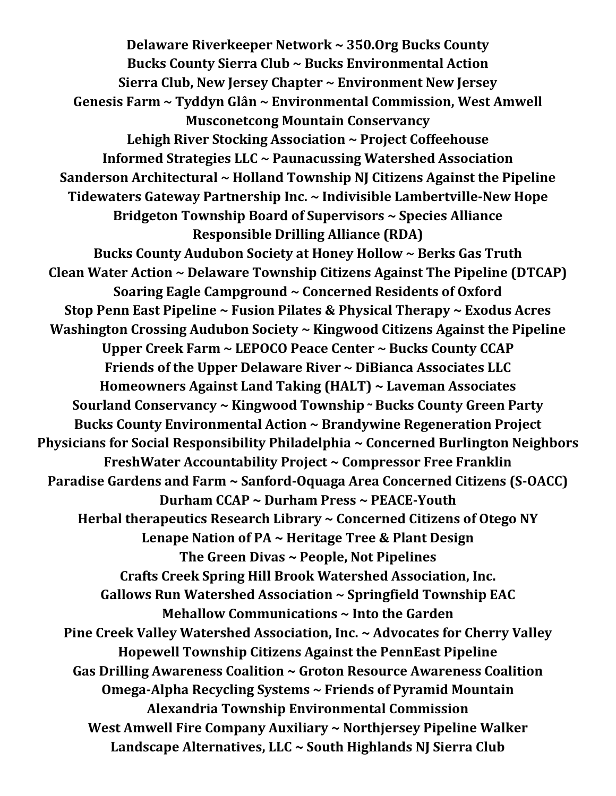**Delaware Riverkeeper Network ~ 350.Org Bucks County Bucks County Sierra Club ~ Bucks Environmental Action Sierra Club, New Jersey Chapter ~ Environment New Jersey Genesis Farm ~ Tyddyn Glân ~ Environmental Commission, West Amwell Musconetcong Mountain Conservancy Lehigh River Stocking Association ~ Project Coffeehouse Informed Strategies LLC ~ Paunacussing Watershed Association Sanderson Architectural ~ Holland Township NJ Citizens Against the Pipeline Tidewaters Gateway Partnership Inc. ~ Indivisible Lambertville-New Hope Bridgeton Township Board of Supervisors ~ Species Alliance Responsible Drilling Alliance (RDA) Bucks County Audubon Society at Honey Hollow ~ Berks Gas Truth Clean Water Action ~ Delaware Township Citizens Against The Pipeline (DTCAP) Soaring Eagle Campground ~ Concerned Residents of Oxford Stop Penn East Pipeline ~ Fusion Pilates & Physical Therapy ~ Exodus Acres Washington Crossing Audubon Society ~ Kingwood Citizens Against the Pipeline Upper Creek Farm ~ LEPOCO Peace Center ~ Bucks County CCAP Friends of the Upper Delaware River ~ DiBianca Associates LLC Homeowners Against Land Taking (HALT) ~ Laveman Associates Sourland Conservancy ~ Kingwood Township ~ Bucks County Green Party Bucks County Environmental Action ~ Brandywine Regeneration Project Physicians for Social Responsibility Philadelphia ~ Concerned Burlington Neighbors FreshWater Accountability Project ~ Compressor Free Franklin Paradise Gardens and Farm ~ Sanford-Oquaga Area Concerned Citizens (S-OACC) Durham CCAP ~ Durham Press ~ PEACE-Youth Herbal therapeutics Research Library ~ Concerned Citizens of Otego NY Lenape Nation of PA ~ Heritage Tree & Plant Design The Green Divas ~ People, Not Pipelines Crafts Creek Spring Hill Brook Watershed Association, Inc. Gallows Run Watershed Association ~ Springfield Township EAC Mehallow Communications ~ Into the Garden Pine Creek Valley Watershed Association, Inc. ~ Advocates for Cherry Valley Hopewell Township Citizens Against the PennEast Pipeline Gas Drilling Awareness Coalition ~ Groton Resource Awareness Coalition Omega-Alpha Recycling Systems ~ Friends of Pyramid Mountain Alexandria Township Environmental Commission West Amwell Fire Company Auxiliary ~ Northjersey Pipeline Walker Landscape Alternatives, LLC ~ South Highlands NJ Sierra Club**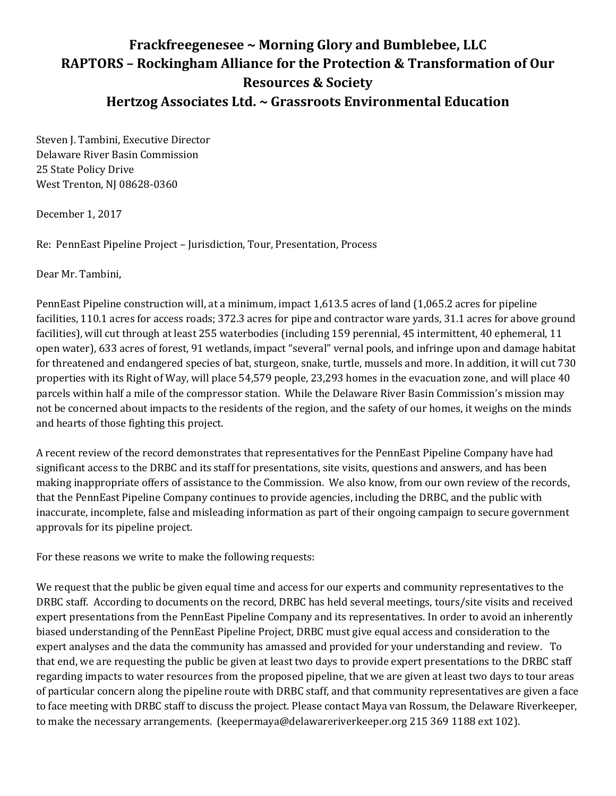## **Frackfreegenesee ~ Morning Glory and Bumblebee, LLC RAPTORS – Rockingham Alliance for the Protection & Transformation of Our Resources & Society Hertzog Associates Ltd. ~ Grassroots Environmental Education**

Steven J. Tambini, Executive Director Delaware River Basin Commission 25 State Policy Drive West Trenton, NJ 08628-0360

December 1, 2017

Re: PennEast Pipeline Project – Jurisdiction, Tour, Presentation, Process

Dear Mr. Tambini,

PennEast Pipeline construction will, at a minimum, impact 1,613.5 acres of land (1,065.2 acres for pipeline facilities, 110.1 acres for access roads; 372.3 acres for pipe and contractor ware yards, 31.1 acres for above ground facilities), will cut through at least 255 waterbodies (including 159 perennial, 45 intermittent, 40 ephemeral, 11 open water), 633 acres of forest, 91 wetlands, impact "several" vernal pools, and infringe upon and damage habitat for threatened and endangered species of bat, sturgeon, snake, turtle, mussels and more. In addition, it will cut 730 properties with its Right of Way, will place 54,579 people, 23,293 homes in the evacuation zone, and will place 40 parcels within half a mile of the compressor station. While the Delaware River Basin Commission's mission may not be concerned about impacts to the residents of the region, and the safety of our homes, it weighs on the minds and hearts of those fighting this project.

A recent review of the record demonstrates that representatives for the PennEast Pipeline Company have had significant access to the DRBC and its staff for presentations, site visits, questions and answers, and has been making inappropriate offers of assistance to the Commission. We also know, from our own review of the records, that the PennEast Pipeline Company continues to provide agencies, including the DRBC, and the public with inaccurate, incomplete, false and misleading information as part of their ongoing campaign to secure government approvals for its pipeline project.

For these reasons we write to make the following requests:

We request that the public be given equal time and access for our experts and community representatives to the DRBC staff. According to documents on the record, DRBC has held several meetings, tours/site visits and received expert presentations from the PennEast Pipeline Company and its representatives. In order to avoid an inherently biased understanding of the PennEast Pipeline Project, DRBC must give equal access and consideration to the expert analyses and the data the community has amassed and provided for your understanding and review. To that end, we are requesting the public be given at least two days to provide expert presentations to the DRBC staff regarding impacts to water resources from the proposed pipeline, that we are given at least two days to tour areas of particular concern along the pipeline route with DRBC staff, and that community representatives are given a face to face meeting with DRBC staff to discuss the project. Please contact Maya van Rossum, the Delaware Riverkeeper, to make the necessary arrangements. (keepermaya@delawareriverkeeper.org 215 369 1188 ext 102).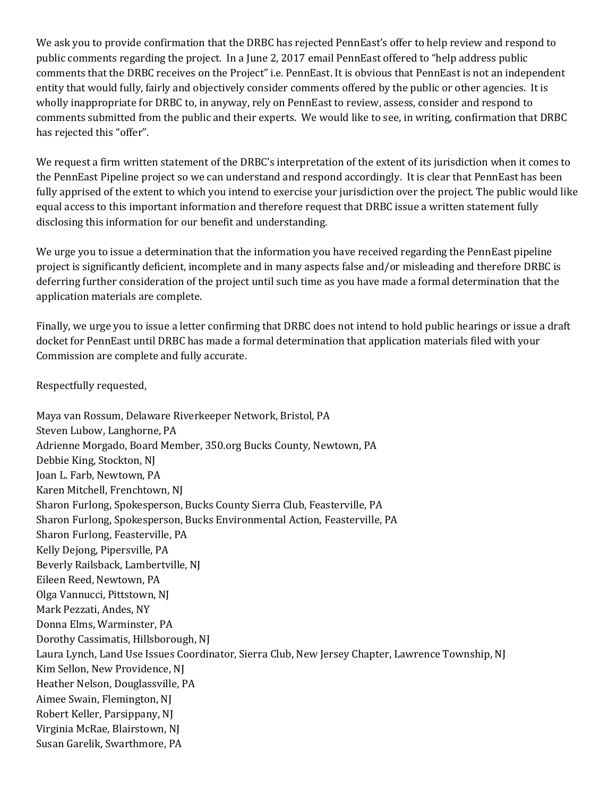We ask you to provide confirmation that the DRBC has rejected PennEast's offer to help review and respond to public comments regarding the project. In a June 2, 2017 email PennEast offered to "help address public comments that the DRBC receives on the Project" i.e. PennEast. It is obvious that PennEast is not an independent entity that would fully, fairly and objectively consider comments offered by the public or other agencies. It is wholly inappropriate for DRBC to, in anyway, rely on PennEast to review, assess, consider and respond to comments submitted from the public and their experts. We would like to see, in writing, confirmation that DRBC has rejected this "offer".

We request a firm written statement of the DRBC's interpretation of the extent of its jurisdiction when it comes to the PennEast Pipeline project so we can understand and respond accordingly. It is clear that PennEast has been fully apprised of the extent to which you intend to exercise your jurisdiction over the project. The public would like equal access to this important information and therefore request that DRBC issue a written statement fully disclosing this information for our benefit and understanding.

We urge you to issue a determination that the information you have received regarding the PennEast pipeline project is significantly deficient, incomplete and in many aspects false and/or misleading and therefore DRBC is deferring further consideration of the project until such time as you have made a formal determination that the application materials are complete.

Finally, we urge you to issue a letter confirming that DRBC does not intend to hold public hearings or issue a draft docket for PennEast until DRBC has made a formal determination that application materials filed with your Commission are complete and fully accurate.

Respectfully requested,

Maya van Rossum, Delaware Riverkeeper Network, Bristol, PA Steven Lubow, Langhorne, PA Adrienne Morgado, Board Member, 350.org Bucks County, Newtown, PA Debbie King, Stockton, NJ Joan L. Farb, Newtown, PA Karen Mitchell, Frenchtown, NJ Sharon Furlong, Spokesperson, Bucks County Sierra Club, Feasterville, PA Sharon Furlong, Spokesperson, Bucks Environmental Action, Feasterville, PA Sharon Furlong, Feasterville, PA Kelly Dejong, Pipersville, PA Beverly Railsback, Lambertville, NJ Eileen Reed, Newtown, PA Olga Vannucci, Pittstown, NJ Mark Pezzati, Andes, NY Donna Elms, Warminster, PA Dorothy Cassimatis, Hillsborough, NJ Laura Lynch, Land Use Issues Coordinator, Sierra Club, New Jersey Chapter, Lawrence Township, NJ Kim Sellon, New Providence, NJ Heather Nelson, Douglassville, PA Aimee Swain, Flemington, NJ Robert Keller, Parsippany, NJ Virginia McRae, Blairstown, NJ Susan Garelik, Swarthmore, PA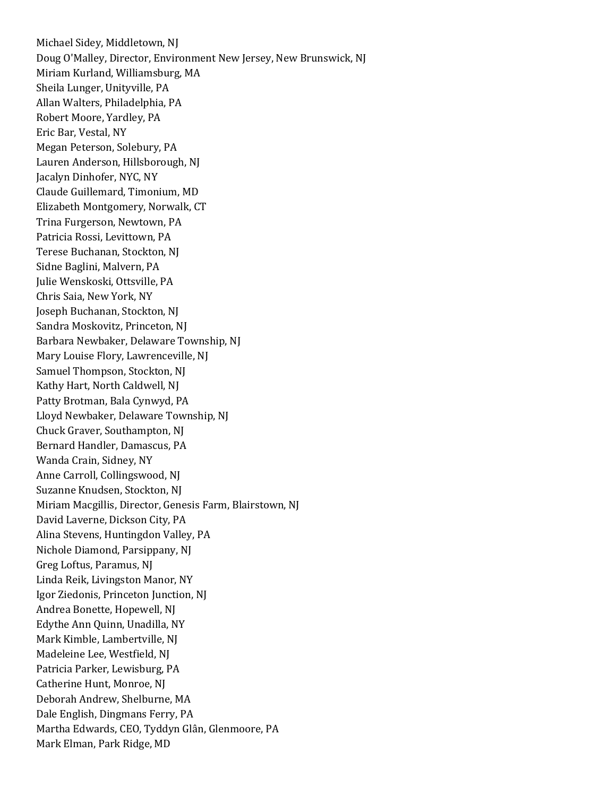Michael Sidey, Middletown, NJ Doug O'Malley, Director, Environment New Jersey, New Brunswick, NJ Miriam Kurland, Williamsburg, MA Sheila Lunger, Unityville, PA Allan Walters, Philadelphia, PA Robert Moore, Yardley, PA Eric Bar, Vestal, NY Megan Peterson, Solebury, PA Lauren Anderson, Hillsborough, NJ Jacalyn Dinhofer, NYC, NY Claude Guillemard, Timonium, MD Elizabeth Montgomery, Norwalk, CT Trina Furgerson, Newtown, PA Patricia Rossi, Levittown, PA Terese Buchanan, Stockton, NJ Sidne Baglini, Malvern, PA Julie Wenskoski, Ottsville, PA Chris Saia, New York, NY Joseph Buchanan, Stockton, NJ Sandra Moskovitz, Princeton, NJ Barbara Newbaker, Delaware Township, NJ Mary Louise Flory, Lawrenceville, NJ Samuel Thompson, Stockton, NJ Kathy Hart, North Caldwell, NJ Patty Brotman, Bala Cynwyd, PA Lloyd Newbaker, Delaware Township, NJ Chuck Graver, Southampton, NJ Bernard Handler, Damascus, PA Wanda Crain, Sidney, NY Anne Carroll, Collingswood, NJ Suzanne Knudsen, Stockton, NJ Miriam Macgillis, Director, Genesis Farm, Blairstown, NJ David Laverne, Dickson City, PA Alina Stevens, Huntingdon Valley, PA Nichole Diamond, Parsippany, NJ Greg Loftus, Paramus, NJ Linda Reik, Livingston Manor, NY Igor Ziedonis, Princeton Junction, NJ Andrea Bonette, Hopewell, NJ Edythe Ann Quinn, Unadilla, NY Mark Kimble, Lambertville, NJ Madeleine Lee, Westfield, NJ Patricia Parker, Lewisburg, PA Catherine Hunt, Monroe, NJ Deborah Andrew, Shelburne, MA Dale English, Dingmans Ferry, PA Martha Edwards, CEO, Tyddyn Glân, Glenmoore, PA Mark Elman, Park Ridge, MD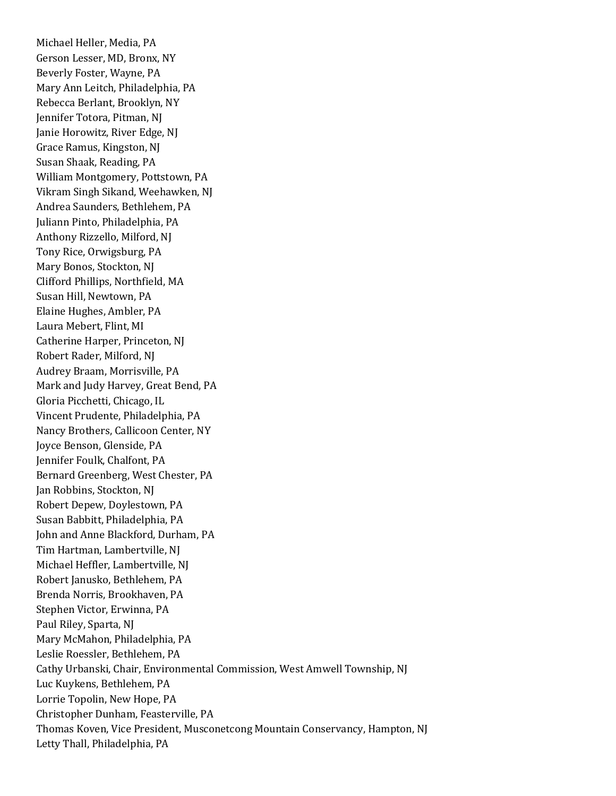Michael Heller, Media, PA Gerson Lesser, MD, Bronx, NY Beverly Foster, Wayne, PA Mary Ann Leitch, Philadelphia, PA Rebecca Berlant, Brooklyn, NY Jennifer Totora, Pitman, NJ Janie Horowitz, River Edge, NJ Grace Ramus, Kingston, NJ Susan Shaak, Reading, PA William Montgomery, Pottstown, PA Vikram Singh Sikand, Weehawken, NJ Andrea Saunders, Bethlehem, PA Juliann Pinto, Philadelphia, PA Anthony Rizzello, Milford, NJ Tony Rice, Orwigsburg, PA Mary Bonos, Stockton, NJ Clifford Phillips, Northfield, MA Susan Hill, Newtown, PA Elaine Hughes, Ambler, PA Laura Mebert, Flint, MI Catherine Harper, Princeton, NJ Robert Rader, Milford, NJ Audrey Braam, Morrisville, PA Mark and Judy Harvey, Great Bend, PA Gloria Picchetti, Chicago, IL Vincent Prudente, Philadelphia, PA Nancy Brothers, Callicoon Center, NY Joyce Benson, Glenside, PA Jennifer Foulk, Chalfont, PA Bernard Greenberg, West Chester, PA Jan Robbins, Stockton, NJ Robert Depew, Doylestown, PA Susan Babbitt, Philadelphia, PA John and Anne Blackford, Durham, PA Tim Hartman, Lambertville, NJ Michael Heffler, Lambertville, NJ Robert Janusko, Bethlehem, PA Brenda Norris, Brookhaven, PA Stephen Victor, Erwinna, PA Paul Riley, Sparta, NJ Mary McMahon, Philadelphia, PA Leslie Roessler, Bethlehem, PA Cathy Urbanski, Chair, Environmental Commission, West Amwell Township, NJ Luc Kuykens, Bethlehem, PA Lorrie Topolin, New Hope, PA Christopher Dunham, Feasterville, PA Thomas Koven, Vice President, Musconetcong Mountain Conservancy, Hampton, NJ Letty Thall, Philadelphia, PA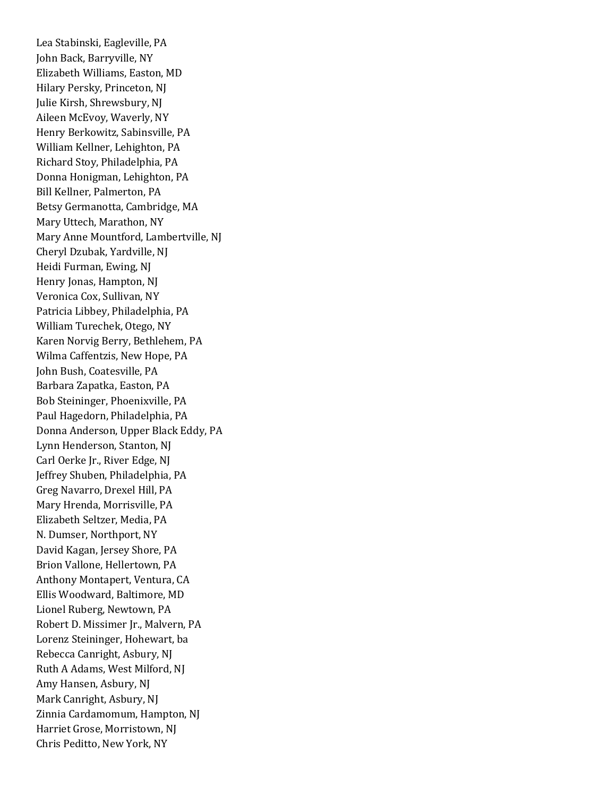Lea Stabinski, Eagleville, PA John Back, Barryville, NY Elizabeth Williams, Easton, MD Hilary Persky, Princeton, NJ Julie Kirsh, Shrewsbury, NJ Aileen McEvoy, Waverly, NY Henry Berkowitz, Sabinsville, PA William Kellner, Lehighton, PA Richard Stoy, Philadelphia, PA Donna Honigman, Lehighton, PA Bill Kellner, Palmerton, PA Betsy Germanotta, Cambridge, MA Mary Uttech, Marathon, NY Mary Anne Mountford, Lambertville, NJ Cheryl Dzubak, Yardville, NJ Heidi Furman, Ewing, NJ Henry Jonas, Hampton, NJ Veronica Cox, Sullivan, NY Patricia Libbey, Philadelphia, PA William Turechek, Otego, NY Karen Norvig Berry, Bethlehem, PA Wilma Caffentzis, New Hope, PA John Bush, Coatesville, PA Barbara Zapatka, Easton, PA Bob Steininger, Phoenixville, PA Paul Hagedorn, Philadelphia, PA Donna Anderson, Upper Black Eddy, PA Lynn Henderson, Stanton, NJ Carl Oerke Jr., River Edge, NJ Jeffrey Shuben, Philadelphia, PA Greg Navarro, Drexel Hill, PA Mary Hrenda, Morrisville, PA Elizabeth Seltzer, Media, PA N. Dumser, Northport, NY David Kagan, Jersey Shore, PA Brion Vallone, Hellertown, PA Anthony Montapert, Ventura, CA Ellis Woodward, Baltimore, MD Lionel Ruberg, Newtown, PA Robert D. Missimer Jr., Malvern, PA Lorenz Steininger, Hohewart, ba Rebecca Canright, Asbury, NJ Ruth A Adams, West Milford, NJ Amy Hansen, Asbury, NJ Mark Canright, Asbury, NJ Zinnia Cardamomum, Hampton, NJ Harriet Grose, Morristown, NJ Chris Peditto, New York, NY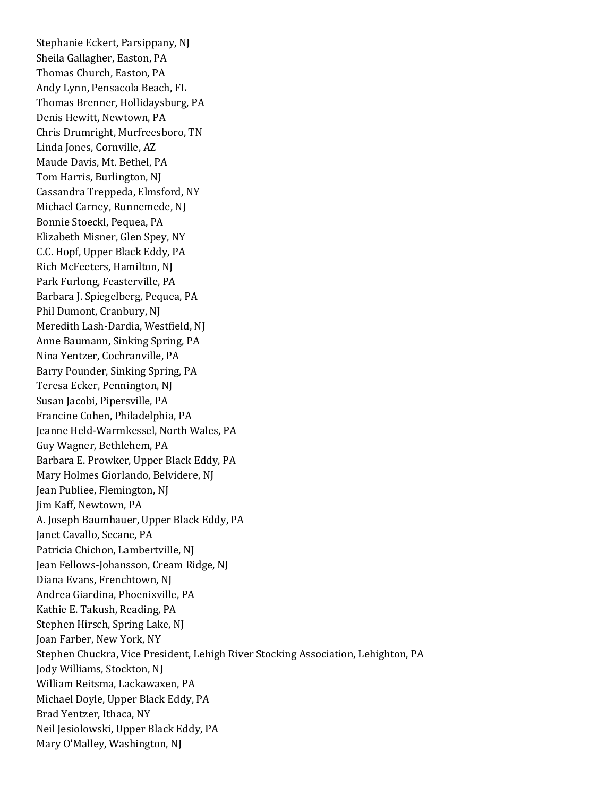Stephanie Eckert, Parsippany, NJ Sheila Gallagher, Easton, PA Thomas Church, Easton, PA Andy Lynn, Pensacola Beach, FL Thomas Brenner, Hollidaysburg, PA Denis Hewitt, Newtown, PA Chris Drumright, Murfreesboro, TN Linda Jones, Cornville, AZ Maude Davis, Mt. Bethel, PA Tom Harris, Burlington, NJ Cassandra Treppeda, Elmsford, NY Michael Carney, Runnemede, NJ Bonnie Stoeckl, Pequea, PA Elizabeth Misner, Glen Spey, NY C.C. Hopf, Upper Black Eddy, PA Rich McFeeters, Hamilton, NJ Park Furlong, Feasterville, PA Barbara J. Spiegelberg, Pequea, PA Phil Dumont, Cranbury, NJ Meredith Lash-Dardia, Westfield, NJ Anne Baumann, Sinking Spring, PA Nina Yentzer, Cochranville, PA Barry Pounder, Sinking Spring, PA Teresa Ecker, Pennington, NJ Susan Jacobi, Pipersville, PA Francine Cohen, Philadelphia, PA Jeanne Held-Warmkessel, North Wales, PA Guy Wagner, Bethlehem, PA Barbara E. Prowker, Upper Black Eddy, PA Mary Holmes Giorlando, Belvidere, NJ Jean Publiee, Flemington, NJ Jim Kaff, Newtown, PA A. Joseph Baumhauer, Upper Black Eddy, PA Janet Cavallo, Secane, PA Patricia Chichon, Lambertville, NJ Jean Fellows-Johansson, Cream Ridge, NJ Diana Evans, Frenchtown, NJ Andrea Giardina, Phoenixville, PA Kathie E. Takush, Reading, PA Stephen Hirsch, Spring Lake, NJ Joan Farber, New York, NY Stephen Chuckra, Vice President, Lehigh River Stocking Association, Lehighton, PA Jody Williams, Stockton, NJ William Reitsma, Lackawaxen, PA Michael Doyle, Upper Black Eddy, PA Brad Yentzer, Ithaca, NY Neil Jesiolowski, Upper Black Eddy, PA Mary O'Malley, Washington, NJ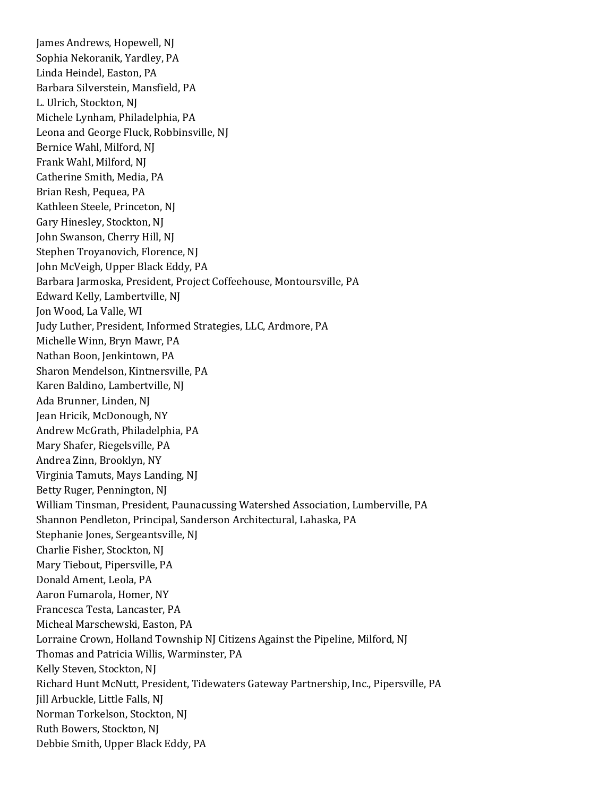James Andrews, Hopewell, NJ Sophia Nekoranik, Yardley, PA Linda Heindel, Easton, PA Barbara Silverstein, Mansfield, PA L. Ulrich, Stockton, NJ Michele Lynham, Philadelphia, PA Leona and George Fluck, Robbinsville, NJ Bernice Wahl, Milford, NJ Frank Wahl, Milford, NJ Catherine Smith, Media, PA Brian Resh, Pequea, PA Kathleen Steele, Princeton, NJ Gary Hinesley, Stockton, NJ John Swanson, Cherry Hill, NJ Stephen Troyanovich, Florence, NJ John McVeigh, Upper Black Eddy, PA Barbara Jarmoska, President, Project Coffeehouse, Montoursville, PA Edward Kelly, Lambertville, NJ Jon Wood, La Valle, WI Judy Luther, President, Informed Strategies, LLC, Ardmore, PA Michelle Winn, Bryn Mawr, PA Nathan Boon, Jenkintown, PA Sharon Mendelson, Kintnersville, PA Karen Baldino, Lambertville, NJ Ada Brunner, Linden, NJ Jean Hricik, McDonough, NY Andrew McGrath, Philadelphia, PA Mary Shafer, Riegelsville, PA Andrea Zinn, Brooklyn, NY Virginia Tamuts, Mays Landing, NJ Betty Ruger, Pennington, NJ William Tinsman, President, Paunacussing Watershed Association, Lumberville, PA Shannon Pendleton, Principal, Sanderson Architectural, Lahaska, PA Stephanie Jones, Sergeantsville, NJ Charlie Fisher, Stockton, NJ Mary Tiebout, Pipersville, PA Donald Ament, Leola, PA Aaron Fumarola, Homer, NY Francesca Testa, Lancaster, PA Micheal Marschewski, Easton, PA Lorraine Crown, Holland Township NJ Citizens Against the Pipeline, Milford, NJ Thomas and Patricia Willis, Warminster, PA Kelly Steven, Stockton, NJ Richard Hunt McNutt, President, Tidewaters Gateway Partnership, Inc., Pipersville, PA Jill Arbuckle, Little Falls, NJ Norman Torkelson, Stockton, NJ Ruth Bowers, Stockton, NJ Debbie Smith, Upper Black Eddy, PA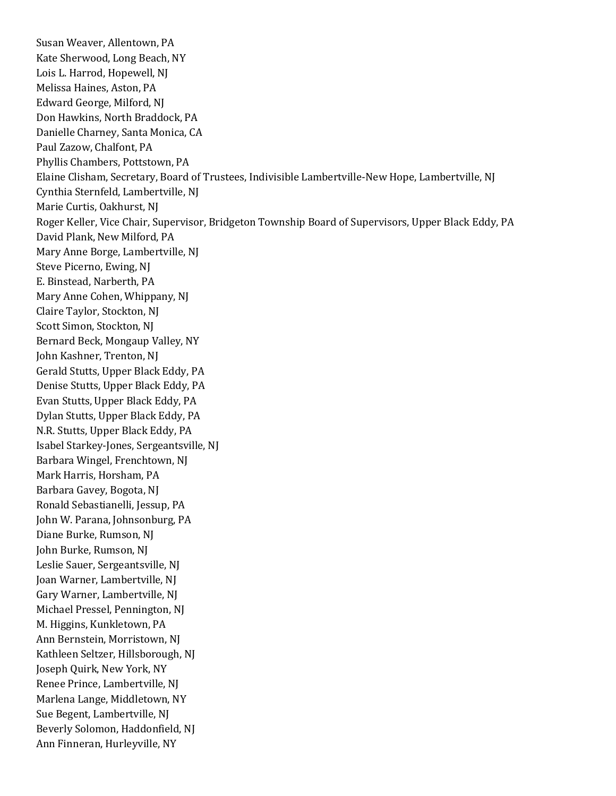Susan Weaver, Allentown, PA Kate Sherwood, Long Beach, NY Lois L. Harrod, Hopewell, NJ Melissa Haines, Aston, PA Edward George, Milford, NJ Don Hawkins, North Braddock, PA Danielle Charney, Santa Monica, CA Paul Zazow, Chalfont, PA Phyllis Chambers, Pottstown, PA Elaine Clisham, Secretary, Board of Trustees, Indivisible Lambertville-New Hope, Lambertville, NJ Cynthia Sternfeld, Lambertville, NJ Marie Curtis, Oakhurst, NJ Roger Keller, Vice Chair, Supervisor, Bridgeton Township Board of Supervisors, Upper Black Eddy, PA David Plank, New Milford, PA Mary Anne Borge, Lambertville, NJ Steve Picerno, Ewing, NJ E. Binstead, Narberth, PA Mary Anne Cohen, Whippany, NJ Claire Taylor, Stockton, NJ Scott Simon, Stockton, NJ Bernard Beck, Mongaup Valley, NY John Kashner, Trenton, NJ Gerald Stutts, Upper Black Eddy, PA Denise Stutts, Upper Black Eddy, PA Evan Stutts, Upper Black Eddy, PA Dylan Stutts, Upper Black Eddy, PA N.R. Stutts, Upper Black Eddy, PA Isabel Starkey-Jones, Sergeantsville, NJ Barbara Wingel, Frenchtown, NJ Mark Harris, Horsham, PA Barbara Gavey, Bogota, NJ Ronald Sebastianelli, Jessup, PA John W. Parana, Johnsonburg, PA Diane Burke, Rumson, NJ John Burke, Rumson, NJ Leslie Sauer, Sergeantsville, NJ Joan Warner, Lambertville, NJ Gary Warner, Lambertville, NJ Michael Pressel, Pennington, NJ M. Higgins, Kunkletown, PA Ann Bernstein, Morristown, NJ Kathleen Seltzer, Hillsborough, NJ Joseph Quirk, New York, NY Renee Prince, Lambertville, NJ Marlena Lange, Middletown, NY Sue Begent, Lambertville, NJ Beverly Solomon, Haddonfield, NJ Ann Finneran, Hurleyville, NY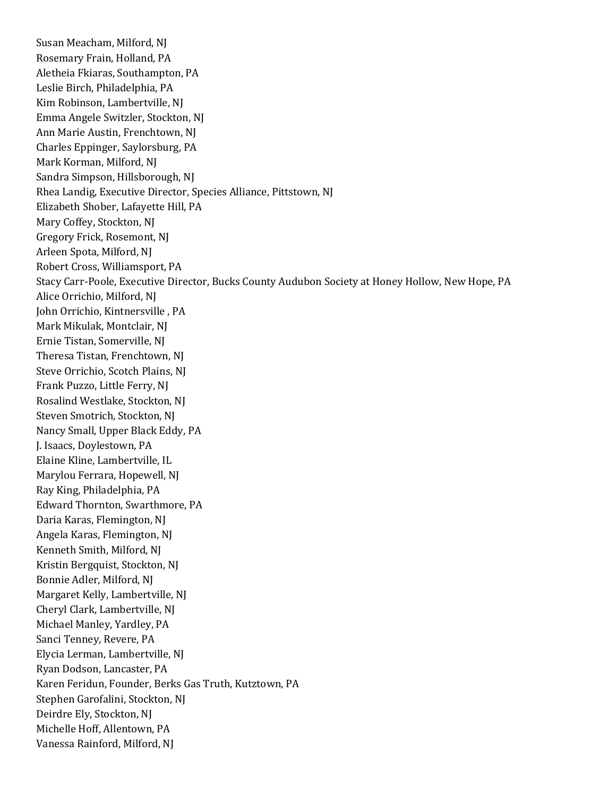Susan Meacham, Milford, NJ Rosemary Frain, Holland, PA Aletheia Fkiaras, Southampton, PA Leslie Birch, Philadelphia, PA Kim Robinson, Lambertville, NJ Emma Angele Switzler, Stockton, NJ Ann Marie Austin, Frenchtown, NJ Charles Eppinger, Saylorsburg, PA Mark Korman, Milford, NJ Sandra Simpson, Hillsborough, NJ Rhea Landig, Executive Director, Species Alliance, Pittstown, NJ Elizabeth Shober, Lafayette Hill, PA Mary Coffey, Stockton, NJ Gregory Frick, Rosemont, NJ Arleen Spota, Milford, NJ Robert Cross, Williamsport, PA Stacy Carr-Poole, Executive Director, Bucks County Audubon Society at Honey Hollow, New Hope, PA Alice Orrichio, Milford, NJ John Orrichio, Kintnersville , PA Mark Mikulak, Montclair, NJ Ernie Tistan, Somerville, NJ Theresa Tistan, Frenchtown, NJ Steve Orrichio, Scotch Plains, NJ Frank Puzzo, Little Ferry, NJ Rosalind Westlake, Stockton, NJ Steven Smotrich, Stockton, NJ Nancy Small, Upper Black Eddy, PA J. Isaacs, Doylestown, PA Elaine Kline, Lambertville, IL Marylou Ferrara, Hopewell, NJ Ray King, Philadelphia, PA Edward Thornton, Swarthmore, PA Daria Karas, Flemington, NJ Angela Karas, Flemington, NJ Kenneth Smith, Milford, NJ Kristin Bergquist, Stockton, NJ Bonnie Adler, Milford, NJ Margaret Kelly, Lambertville, NJ Cheryl Clark, Lambertville, NJ Michael Manley, Yardley, PA Sanci Tenney, Revere, PA Elycia Lerman, Lambertville, NJ Ryan Dodson, Lancaster, PA Karen Feridun, Founder, Berks Gas Truth, Kutztown, PA Stephen Garofalini, Stockton, NJ Deirdre Ely, Stockton, NJ Michelle Hoff, Allentown, PA Vanessa Rainford, Milford, NJ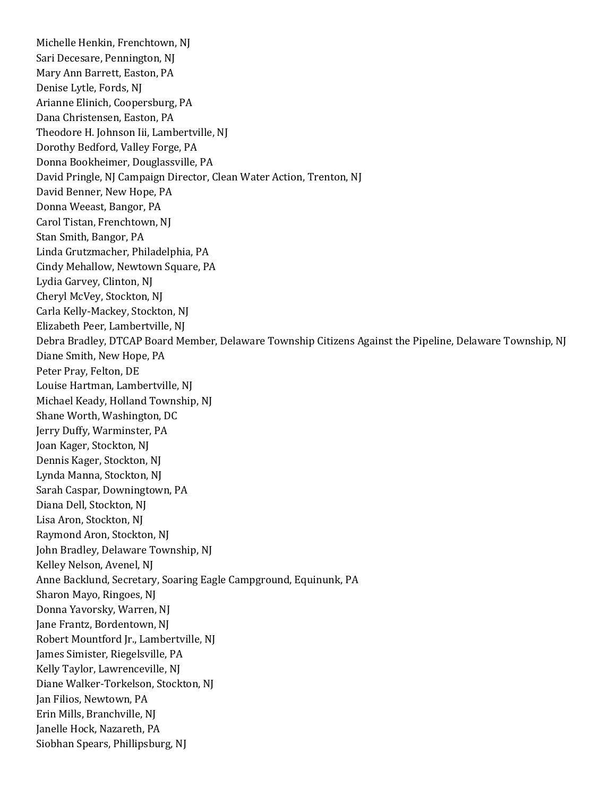Michelle Henkin, Frenchtown, NJ Sari Decesare, Pennington, NJ Mary Ann Barrett, Easton, PA Denise Lytle, Fords, NJ Arianne Elinich, Coopersburg, PA Dana Christensen, Easton, PA Theodore H. Johnson Iii, Lambertville, NJ Dorothy Bedford, Valley Forge, PA Donna Bookheimer, Douglassville, PA David Pringle, NJ Campaign Director, Clean Water Action, Trenton, NJ David Benner, New Hope, PA Donna Weeast, Bangor, PA Carol Tistan, Frenchtown, NJ Stan Smith, Bangor, PA Linda Grutzmacher, Philadelphia, PA Cindy Mehallow, Newtown Square, PA Lydia Garvey, Clinton, NJ Cheryl McVey, Stockton, NJ Carla Kelly-Mackey, Stockton, NJ Elizabeth Peer, Lambertville, NJ Debra Bradley, DTCAP Board Member, Delaware Township Citizens Against the Pipeline, Delaware Township, NJ Diane Smith, New Hope, PA Peter Pray, Felton, DE Louise Hartman, Lambertville, NJ Michael Keady, Holland Township, NJ Shane Worth, Washington, DC Jerry Duffy, Warminster, PA Joan Kager, Stockton, NJ Dennis Kager, Stockton, NJ Lynda Manna, Stockton, NJ Sarah Caspar, Downingtown, PA Diana Dell, Stockton, NJ Lisa Aron, Stockton, NJ Raymond Aron, Stockton, NJ John Bradley, Delaware Township, NJ Kelley Nelson, Avenel, NJ Anne Backlund, Secretary, Soaring Eagle Campground, Equinunk, PA Sharon Mayo, Ringoes, NJ Donna Yavorsky, Warren, NJ Jane Frantz, Bordentown, NJ Robert Mountford Jr., Lambertville, NJ James Simister, Riegelsville, PA Kelly Taylor, Lawrenceville, NJ Diane Walker-Torkelson, Stockton, NJ Jan Filios, Newtown, PA Erin Mills, Branchville, NJ Janelle Hock, Nazareth, PA Siobhan Spears, Phillipsburg, NJ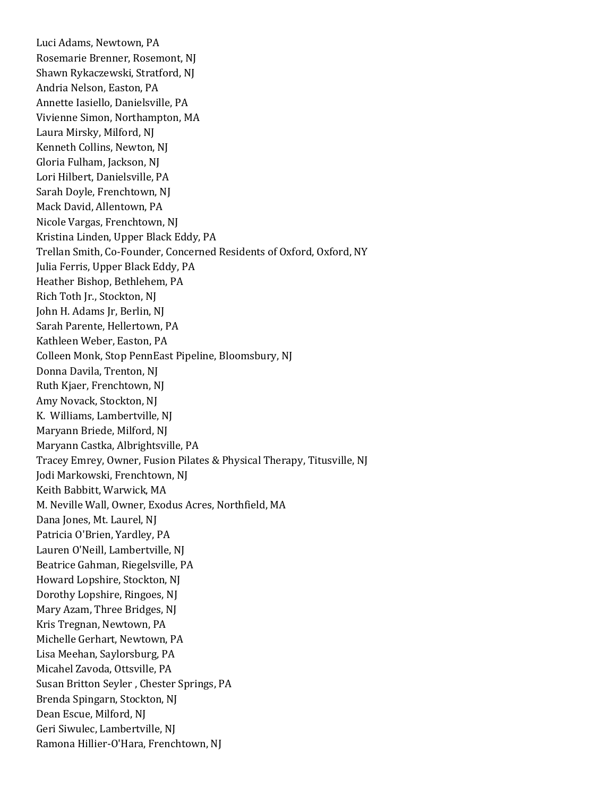Luci Adams, Newtown, PA Rosemarie Brenner, Rosemont, NJ Shawn Rykaczewski, Stratford, NJ Andria Nelson, Easton, PA Annette Iasiello, Danielsville, PA Vivienne Simon, Northampton, MA Laura Mirsky, Milford, NJ Kenneth Collins, Newton, NJ Gloria Fulham, Jackson, NJ Lori Hilbert, Danielsville, PA Sarah Doyle, Frenchtown, NJ Mack David, Allentown, PA Nicole Vargas, Frenchtown, NJ Kristina Linden, Upper Black Eddy, PA Trellan Smith, Co-Founder, Concerned Residents of Oxford, Oxford, NY Julia Ferris, Upper Black Eddy, PA Heather Bishop, Bethlehem, PA Rich Toth Jr., Stockton, NJ John H. Adams Jr, Berlin, NJ Sarah Parente, Hellertown, PA Kathleen Weber, Easton, PA Colleen Monk, Stop PennEast Pipeline, Bloomsbury, NJ Donna Davila, Trenton, NJ Ruth Kjaer, Frenchtown, NJ Amy Novack, Stockton, NJ K. Williams, Lambertville, NJ Maryann Briede, Milford, NJ Maryann Castka, Albrightsville, PA Tracey Emrey, Owner, Fusion Pilates & Physical Therapy, Titusville, NJ Jodi Markowski, Frenchtown, NJ Keith Babbitt, Warwick, MA M. Neville Wall, Owner, Exodus Acres, Northfield, MA Dana Jones, Mt. Laurel, NJ Patricia O'Brien, Yardley, PA Lauren O'Neill, Lambertville, NJ Beatrice Gahman, Riegelsville, PA Howard Lopshire, Stockton, NJ Dorothy Lopshire, Ringoes, NJ Mary Azam, Three Bridges, NJ Kris Tregnan, Newtown, PA Michelle Gerhart, Newtown, PA Lisa Meehan, Saylorsburg, PA Micahel Zavoda, Ottsville, PA Susan Britton Seyler , Chester Springs, PA Brenda Spingarn, Stockton, NJ Dean Escue, Milford, NJ Geri Siwulec, Lambertville, NJ Ramona Hillier-O'Hara, Frenchtown, NJ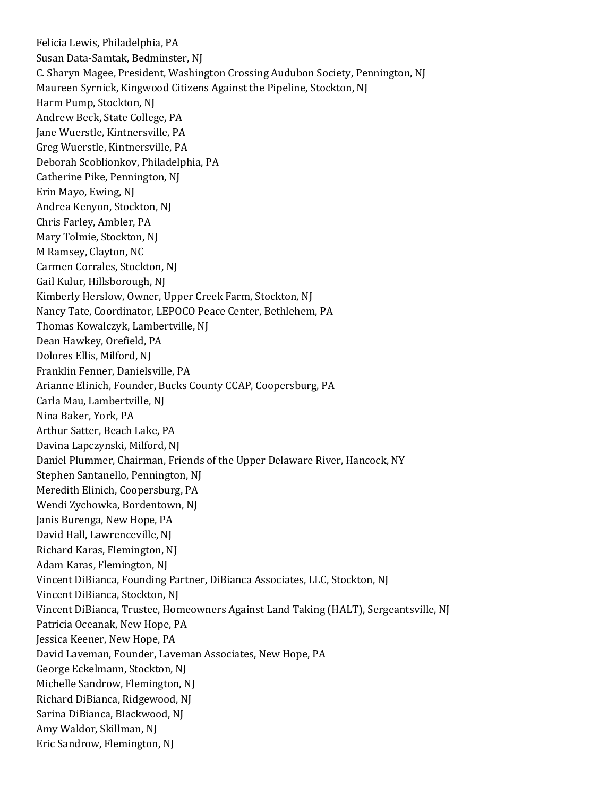Felicia Lewis, Philadelphia, PA Susan Data-Samtak, Bedminster, NJ C. Sharyn Magee, President, Washington Crossing Audubon Society, Pennington, NJ Maureen Syrnick, Kingwood Citizens Against the Pipeline, Stockton, NJ Harm Pump, Stockton, NJ Andrew Beck, State College, PA Jane Wuerstle, Kintnersville, PA Greg Wuerstle, Kintnersville, PA Deborah Scoblionkov, Philadelphia, PA Catherine Pike, Pennington, NJ Erin Mayo, Ewing, NJ Andrea Kenyon, Stockton, NJ Chris Farley, Ambler, PA Mary Tolmie, Stockton, NJ M Ramsey, Clayton, NC Carmen Corrales, Stockton, NJ Gail Kulur, Hillsborough, NJ Kimberly Herslow, Owner, Upper Creek Farm, Stockton, NJ Nancy Tate, Coordinator, LEPOCO Peace Center, Bethlehem, PA Thomas Kowalczyk, Lambertville, NJ Dean Hawkey, Orefield, PA Dolores Ellis, Milford, NJ Franklin Fenner, Danielsville, PA Arianne Elinich, Founder, Bucks County CCAP, Coopersburg, PA Carla Mau, Lambertville, NJ Nina Baker, York, PA Arthur Satter, Beach Lake, PA Davina Lapczynski, Milford, NJ Daniel Plummer, Chairman, Friends of the Upper Delaware River, Hancock, NY Stephen Santanello, Pennington, NJ Meredith Elinich, Coopersburg, PA Wendi Zychowka, Bordentown, NJ Janis Burenga, New Hope, PA David Hall, Lawrenceville, NJ Richard Karas, Flemington, NJ Adam Karas, Flemington, NJ Vincent DiBianca, Founding Partner, DiBianca Associates, LLC, Stockton, NJ Vincent DiBianca, Stockton, NJ Vincent DiBianca, Trustee, Homeowners Against Land Taking (HALT), Sergeantsville, NJ Patricia Oceanak, New Hope, PA Jessica Keener, New Hope, PA David Laveman, Founder, Laveman Associates, New Hope, PA George Eckelmann, Stockton, NJ Michelle Sandrow, Flemington, NJ Richard DiBianca, Ridgewood, NJ Sarina DiBianca, Blackwood, NJ Amy Waldor, Skillman, NJ Eric Sandrow, Flemington, NJ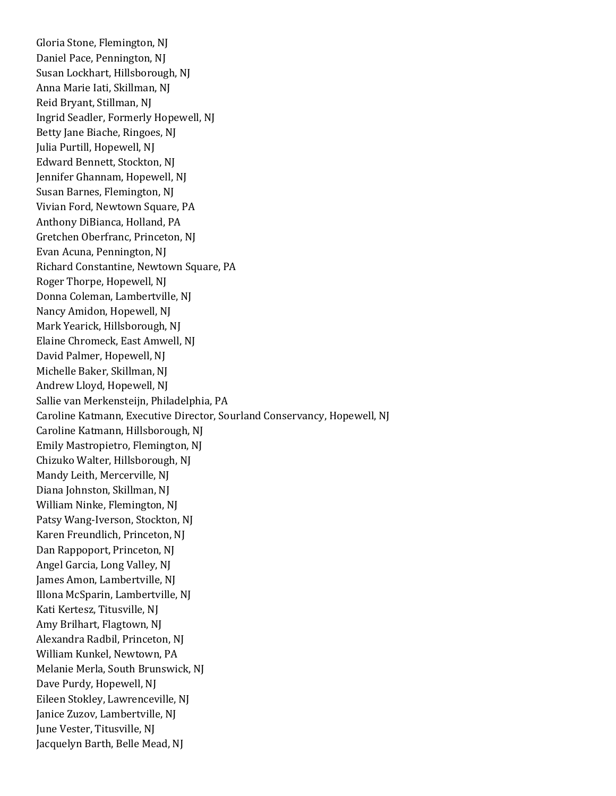Gloria Stone, Flemington, NJ Daniel Pace, Pennington, NJ Susan Lockhart, Hillsborough, NJ Anna Marie Iati, Skillman, NJ Reid Bryant, Stillman, NJ Ingrid Seadler, Formerly Hopewell, NJ Betty Jane Biache, Ringoes, NJ Julia Purtill, Hopewell, NJ Edward Bennett, Stockton, NJ Jennifer Ghannam, Hopewell, NJ Susan Barnes, Flemington, NJ Vivian Ford, Newtown Square, PA Anthony DiBianca, Holland, PA Gretchen Oberfranc, Princeton, NJ Evan Acuna, Pennington, NJ Richard Constantine, Newtown Square, PA Roger Thorpe, Hopewell, NJ Donna Coleman, Lambertville, NJ Nancy Amidon, Hopewell, NJ Mark Yearick, Hillsborough, NJ Elaine Chromeck, East Amwell, NJ David Palmer, Hopewell, NJ Michelle Baker, Skillman, NJ Andrew Lloyd, Hopewell, NJ Sallie van Merkensteijn, Philadelphia, PA Caroline Katmann, Executive Director, Sourland Conservancy, Hopewell, NJ Caroline Katmann, Hillsborough, NJ Emily Mastropietro, Flemington, NJ Chizuko Walter, Hillsborough, NJ Mandy Leith, Mercerville, NJ Diana Johnston, Skillman, NJ William Ninke, Flemington, NJ Patsy Wang-Iverson, Stockton, NJ Karen Freundlich, Princeton, NJ Dan Rappoport, Princeton, NJ Angel Garcia, Long Valley, NJ James Amon, Lambertville, NJ Illona McSparin, Lambertville, NJ Kati Kertesz, Titusville, NJ Amy Brilhart, Flagtown, NJ Alexandra Radbil, Princeton, NJ William Kunkel, Newtown, PA Melanie Merla, South Brunswick, NJ Dave Purdy, Hopewell, NJ Eileen Stokley, Lawrenceville, NJ Janice Zuzov, Lambertville, NJ June Vester, Titusville, NJ Jacquelyn Barth, Belle Mead, NJ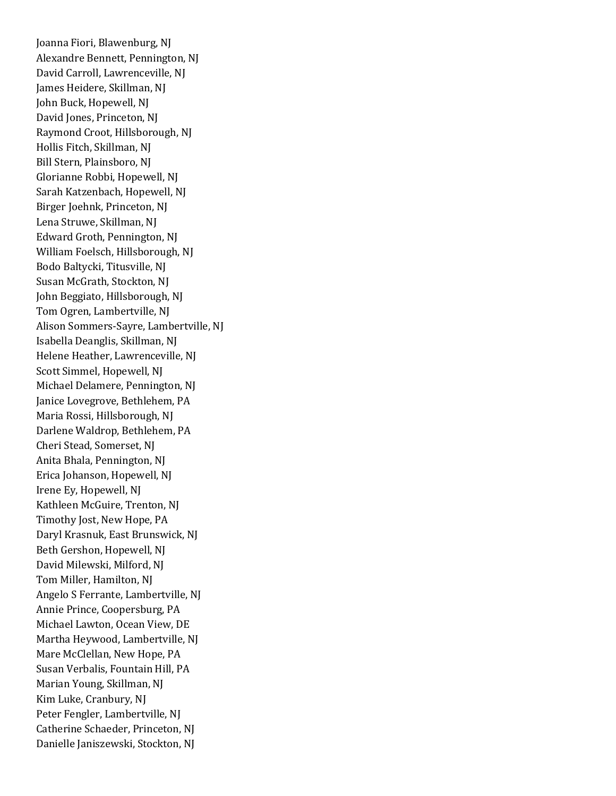Joanna Fiori, Blawenburg, NJ Alexandre Bennett, Pennington, NJ David Carroll, Lawrenceville, NJ James Heidere, Skillman, NJ John Buck, Hopewell, NJ David Jones, Princeton, NJ Raymond Croot, Hillsborough, NJ Hollis Fitch, Skillman, NJ Bill Stern, Plainsboro, NJ Glorianne Robbi, Hopewell, NJ Sarah Katzenbach, Hopewell, NJ Birger Joehnk, Princeton, NJ Lena Struwe, Skillman, NJ Edward Groth, Pennington, NJ William Foelsch, Hillsborough, NJ Bodo Baltycki, Titusville, NJ Susan McGrath, Stockton, NJ John Beggiato, Hillsborough, NJ Tom Ogren, Lambertville, NJ Alison Sommers-Sayre, Lambertville, NJ Isabella Deanglis, Skillman, NJ Helene Heather, Lawrenceville, NJ Scott Simmel, Hopewell, NJ Michael Delamere, Pennington, NJ Janice Lovegrove, Bethlehem, PA Maria Rossi, Hillsborough, NJ Darlene Waldrop, Bethlehem, PA Cheri Stead, Somerset, NJ Anita Bhala, Pennington, NJ Erica Johanson, Hopewell, NJ Irene Ey, Hopewell, NJ Kathleen McGuire, Trenton, NJ Timothy Jost, New Hope, PA Daryl Krasnuk, East Brunswick, NJ Beth Gershon, Hopewell, NJ David Milewski, Milford, NJ Tom Miller, Hamilton, NJ Angelo S Ferrante, Lambertville, NJ Annie Prince, Coopersburg, PA Michael Lawton, Ocean View, DE Martha Heywood, Lambertville, NJ Mare McClellan, New Hope, PA Susan Verbalis, Fountain Hill, PA Marian Young, Skillman, NJ Kim Luke, Cranbury, NJ Peter Fengler, Lambertville, NJ Catherine Schaeder, Princeton, NJ Danielle Janiszewski, Stockton, NJ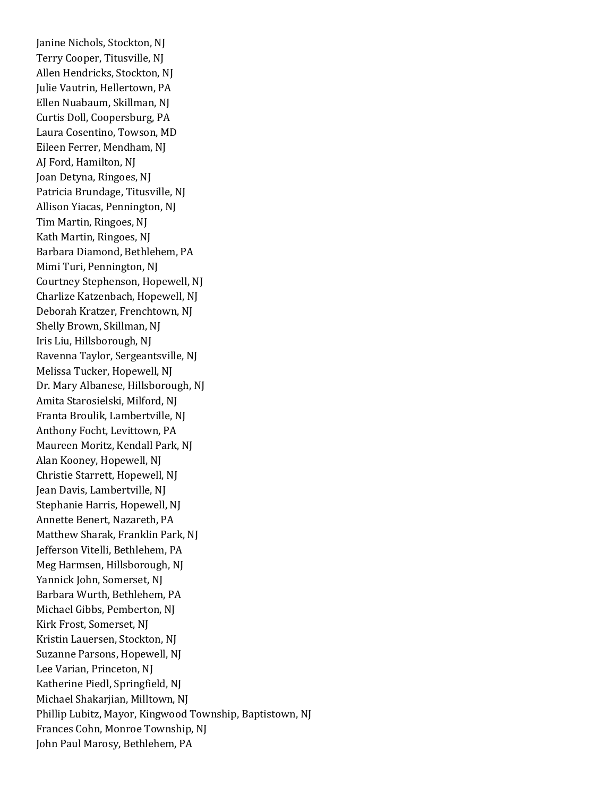Janine Nichols, Stockton, NJ Terry Cooper, Titusville, NJ Allen Hendricks, Stockton, NJ Julie Vautrin, Hellertown, PA Ellen Nuabaum, Skillman, NJ Curtis Doll, Coopersburg, PA Laura Cosentino, Towson, MD Eileen Ferrer, Mendham, NJ AJ Ford, Hamilton, NJ Joan Detyna, Ringoes, NJ Patricia Brundage, Titusville, NJ Allison Yiacas, Pennington, NJ Tim Martin, Ringoes, NJ Kath Martin, Ringoes, NJ Barbara Diamond, Bethlehem, PA Mimi Turi, Pennington, NJ Courtney Stephenson, Hopewell, NJ Charlize Katzenbach, Hopewell, NJ Deborah Kratzer, Frenchtown, NJ Shelly Brown, Skillman, NJ Iris Liu, Hillsborough, NJ Ravenna Taylor, Sergeantsville, NJ Melissa Tucker, Hopewell, NJ Dr. Mary Albanese, Hillsborough, NJ Amita Starosielski, Milford, NJ Franta Broulik, Lambertville, NJ Anthony Focht, Levittown, PA Maureen Moritz, Kendall Park, NJ Alan Kooney, Hopewell, NJ Christie Starrett, Hopewell, NJ Jean Davis, Lambertville, NJ Stephanie Harris, Hopewell, NJ Annette Benert, Nazareth, PA Matthew Sharak, Franklin Park, NJ Jefferson Vitelli, Bethlehem, PA Meg Harmsen, Hillsborough, NJ Yannick John, Somerset, NJ Barbara Wurth, Bethlehem, PA Michael Gibbs, Pemberton, NJ Kirk Frost, Somerset, NJ Kristin Lauersen, Stockton, NJ Suzanne Parsons, Hopewell, NJ Lee Varian, Princeton, NJ Katherine Piedl, Springfield, NJ Michael Shakarjian, Milltown, NJ Phillip Lubitz, Mayor, Kingwood Township, Baptistown, NJ Frances Cohn, Monroe Township, NJ John Paul Marosy, Bethlehem, PA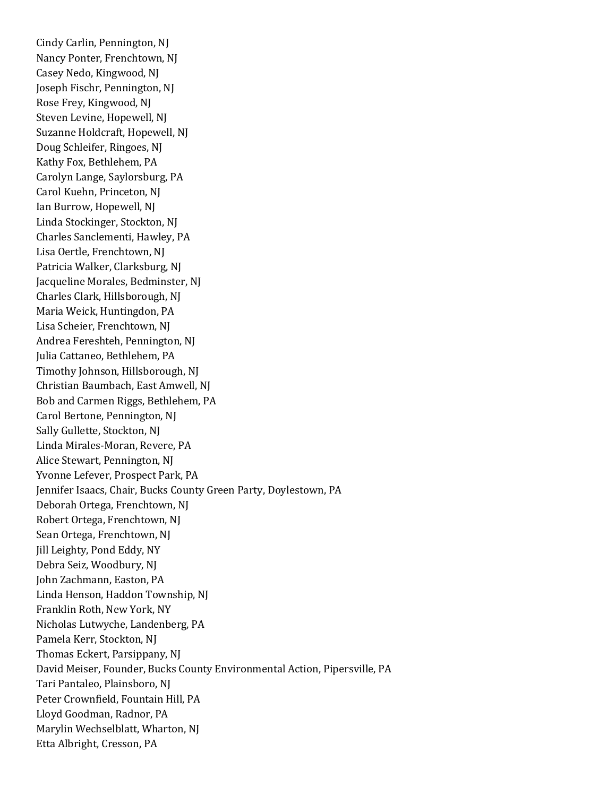Cindy Carlin, Pennington, NJ Nancy Ponter, Frenchtown, NJ Casey Nedo, Kingwood, NJ Joseph Fischr, Pennington, NJ Rose Frey, Kingwood, NJ Steven Levine, Hopewell, NJ Suzanne Holdcraft, Hopewell, NJ Doug Schleifer, Ringoes, NJ Kathy Fox, Bethlehem, PA Carolyn Lange, Saylorsburg, PA Carol Kuehn, Princeton, NJ Ian Burrow, Hopewell, NJ Linda Stockinger, Stockton, NJ Charles Sanclementi, Hawley, PA Lisa Oertle, Frenchtown, NJ Patricia Walker, Clarksburg, NJ Jacqueline Morales, Bedminster, NJ Charles Clark, Hillsborough, NJ Maria Weick, Huntingdon, PA Lisa Scheier, Frenchtown, NJ Andrea Fereshteh, Pennington, NJ Julia Cattaneo, Bethlehem, PA Timothy Johnson, Hillsborough, NJ Christian Baumbach, East Amwell, NJ Bob and Carmen Riggs, Bethlehem, PA Carol Bertone, Pennington, NJ Sally Gullette, Stockton, NJ Linda Mirales-Moran, Revere, PA Alice Stewart, Pennington, NJ Yvonne Lefever, Prospect Park, PA Jennifer Isaacs, Chair, Bucks County Green Party, Doylestown, PA Deborah Ortega, Frenchtown, NJ Robert Ortega, Frenchtown, NJ Sean Ortega, Frenchtown, NJ Jill Leighty, Pond Eddy, NY Debra Seiz, Woodbury, NJ John Zachmann, Easton, PA Linda Henson, Haddon Township, NJ Franklin Roth, New York, NY Nicholas Lutwyche, Landenberg, PA Pamela Kerr, Stockton, NJ Thomas Eckert, Parsippany, NJ David Meiser, Founder, Bucks County Environmental Action, Pipersville, PA Tari Pantaleo, Plainsboro, NJ Peter Crownfield, Fountain Hill, PA Lloyd Goodman, Radnor, PA Marylin Wechselblatt, Wharton, NJ Etta Albright, Cresson, PA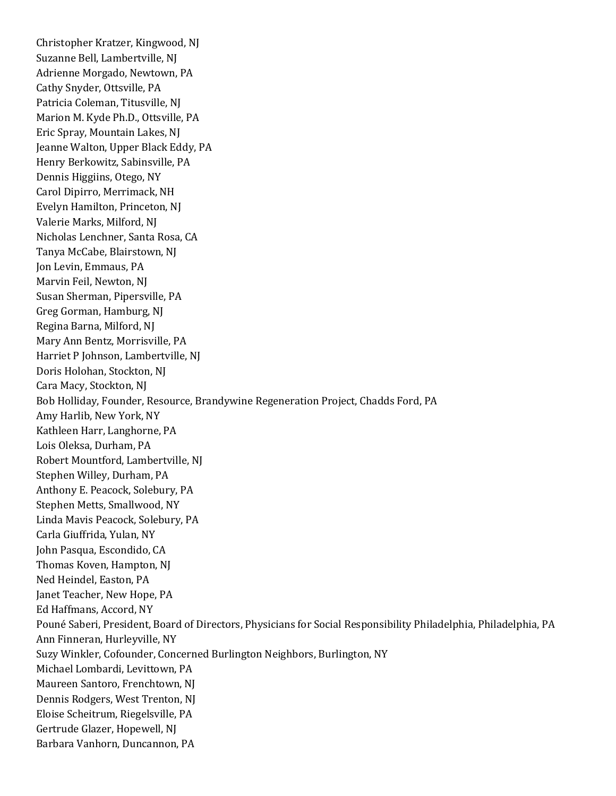Christopher Kratzer, Kingwood, NJ Suzanne Bell, Lambertville, NJ Adrienne Morgado, Newtown, PA Cathy Snyder, Ottsville, PA Patricia Coleman, Titusville, NJ Marion M. Kyde Ph.D., Ottsville, PA Eric Spray, Mountain Lakes, NJ Jeanne Walton, Upper Black Eddy, PA Henry Berkowitz, Sabinsville, PA Dennis Higgiins, Otego, NY Carol Dipirro, Merrimack, NH Evelyn Hamilton, Princeton, NJ Valerie Marks, Milford, NJ Nicholas Lenchner, Santa Rosa, CA Tanya McCabe, Blairstown, NJ Jon Levin, Emmaus, PA Marvin Feil, Newton, NJ Susan Sherman, Pipersville, PA Greg Gorman, Hamburg, NJ Regina Barna, Milford, NJ Mary Ann Bentz, Morrisville, PA Harriet P Johnson, Lambertville, NJ Doris Holohan, Stockton, NJ Cara Macy, Stockton, NJ Bob Holliday, Founder, Resource, Brandywine Regeneration Project, Chadds Ford, PA Amy Harlib, New York, NY Kathleen Harr, Langhorne, PA Lois Oleksa, Durham, PA Robert Mountford, Lambertville, NJ Stephen Willey, Durham, PA Anthony E. Peacock, Solebury, PA Stephen Metts, Smallwood, NY Linda Mavis Peacock, Solebury, PA Carla Giuffrida, Yulan, NY John Pasqua, Escondido, CA Thomas Koven, Hampton, NJ Ned Heindel, Easton, PA Janet Teacher, New Hope, PA Ed Haffmans, Accord, NY Pouné Saberi, President, Board of Directors, Physicians for Social Responsibility Philadelphia, Philadelphia, PA Ann Finneran, Hurleyville, NY Suzy Winkler, Cofounder, Concerned Burlington Neighbors, Burlington, NY Michael Lombardi, Levittown, PA Maureen Santoro, Frenchtown, NJ Dennis Rodgers, West Trenton, NJ Eloise Scheitrum, Riegelsville, PA Gertrude Glazer, Hopewell, NJ Barbara Vanhorn, Duncannon, PA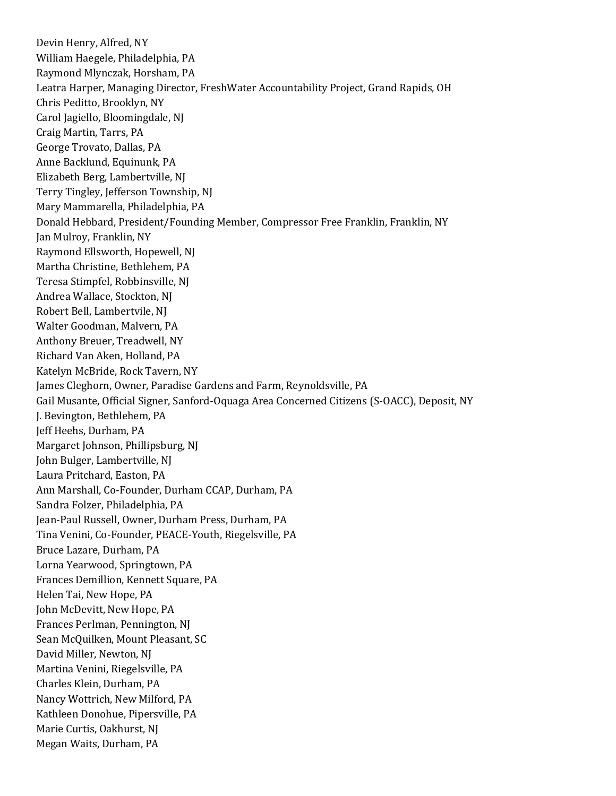Devin Henry, Alfred, NY William Haegele, Philadelphia, PA Raymond Mlynczak, Horsham, PA Leatra Harper, Managing Director, FreshWater Accountability Project, Grand Rapids, OH Chris Peditto, Brooklyn, NY Carol Jagiello, Bloomingdale, NJ Craig Martin, Tarrs, PA George Trovato, Dallas, PA Anne Backlund, Equinunk, PA Elizabeth Berg, Lambertville, NJ Terry Tingley, Jefferson Township, NJ Mary Mammarella, Philadelphia, PA Donald Hebbard, President/Founding Member, Compressor Free Franklin, Franklin, NY Jan Mulroy, Franklin, NY Raymond Ellsworth, Hopewell, NJ Martha Christine, Bethlehem, PA Teresa Stimpfel, Robbinsville, NJ Andrea Wallace, Stockton, NJ Robert Bell, Lambertvile, NJ Walter Goodman, Malvern, PA Anthony Breuer, Treadwell, NY Richard Van Aken, Holland, PA Katelyn McBride, Rock Tavern, NY James Cleghorn, Owner, Paradise Gardens and Farm, Reynoldsville, PA Gail Musante, Official Signer, Sanford-Oquaga Area Concerned Citizens (S-OACC), Deposit, NY J. Bevington, Bethlehem, PA Jeff Heehs, Durham, PA Margaret Johnson, Phillipsburg, NJ John Bulger, Lambertville, NJ Laura Pritchard, Easton, PA Ann Marshall, Co-Founder, Durham CCAP, Durham, PA Sandra Folzer, Philadelphia, PA Jean-Paul Russell, Owner, Durham Press, Durham, PA Tina Venini, Co-Founder, PEACE-Youth, Riegelsville, PA Bruce Lazare, Durham, PA Lorna Yearwood, Springtown, PA Frances Demillion, Kennett Square, PA Helen Tai, New Hope, PA John McDevitt, New Hope, PA Frances Perlman, Pennington, NJ Sean McQuilken, Mount Pleasant, SC David Miller, Newton, NJ Martina Venini, Riegelsville, PA Charles Klein, Durham, PA Nancy Wottrich, New Milford, PA Kathleen Donohue, Pipersville, PA Marie Curtis, Oakhurst, NJ Megan Waits, Durham, PA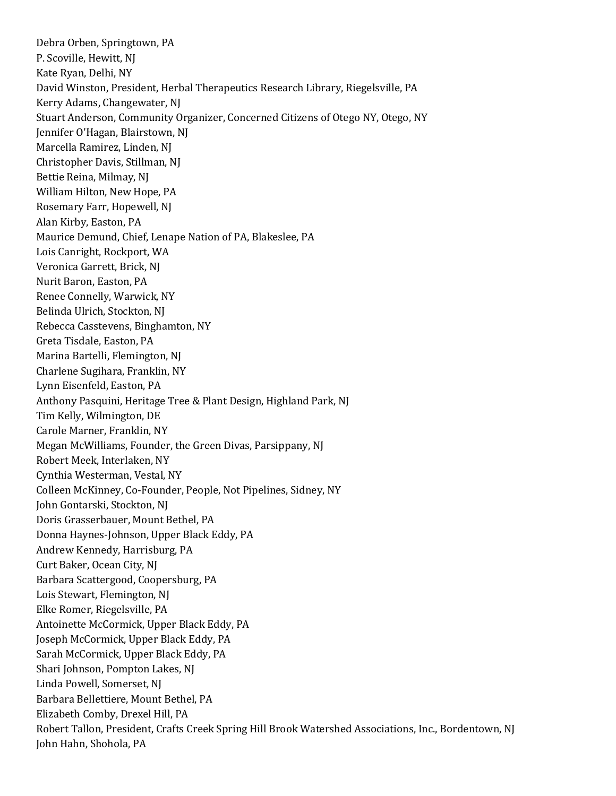Debra Orben, Springtown, PA P. Scoville, Hewitt, NJ Kate Ryan, Delhi, NY David Winston, President, Herbal Therapeutics Research Library, Riegelsville, PA Kerry Adams, Changewater, NJ Stuart Anderson, Community Organizer, Concerned Citizens of Otego NY, Otego, NY Jennifer O'Hagan, Blairstown, NJ Marcella Ramirez, Linden, NJ Christopher Davis, Stillman, NJ Bettie Reina, Milmay, NJ William Hilton, New Hope, PA Rosemary Farr, Hopewell, NJ Alan Kirby, Easton, PA Maurice Demund, Chief, Lenape Nation of PA, Blakeslee, PA Lois Canright, Rockport, WA Veronica Garrett, Brick, NJ Nurit Baron, Easton, PA Renee Connelly, Warwick, NY Belinda Ulrich, Stockton, NJ Rebecca Casstevens, Binghamton, NY Greta Tisdale, Easton, PA Marina Bartelli, Flemington, NJ Charlene Sugihara, Franklin, NY Lynn Eisenfeld, Easton, PA Anthony Pasquini, Heritage Tree & Plant Design, Highland Park, NJ Tim Kelly, Wilmington, DE Carole Marner, Franklin, NY Megan McWilliams, Founder, the Green Divas, Parsippany, NJ Robert Meek, Interlaken, NY Cynthia Westerman, Vestal, NY Colleen McKinney, Co-Founder, People, Not Pipelines, Sidney, NY John Gontarski, Stockton, NJ Doris Grasserbauer, Mount Bethel, PA Donna Haynes-Johnson, Upper Black Eddy, PA Andrew Kennedy, Harrisburg, PA Curt Baker, Ocean City, NJ Barbara Scattergood, Coopersburg, PA Lois Stewart, Flemington, NJ Elke Romer, Riegelsville, PA Antoinette McCormick, Upper Black Eddy, PA Joseph McCormick, Upper Black Eddy, PA Sarah McCormick, Upper Black Eddy, PA Shari Johnson, Pompton Lakes, NJ Linda Powell, Somerset, NJ Barbara Bellettiere, Mount Bethel, PA Elizabeth Comby, Drexel Hill, PA Robert Tallon, President, Crafts Creek Spring Hill Brook Watershed Associations, Inc., Bordentown, NJ John Hahn, Shohola, PA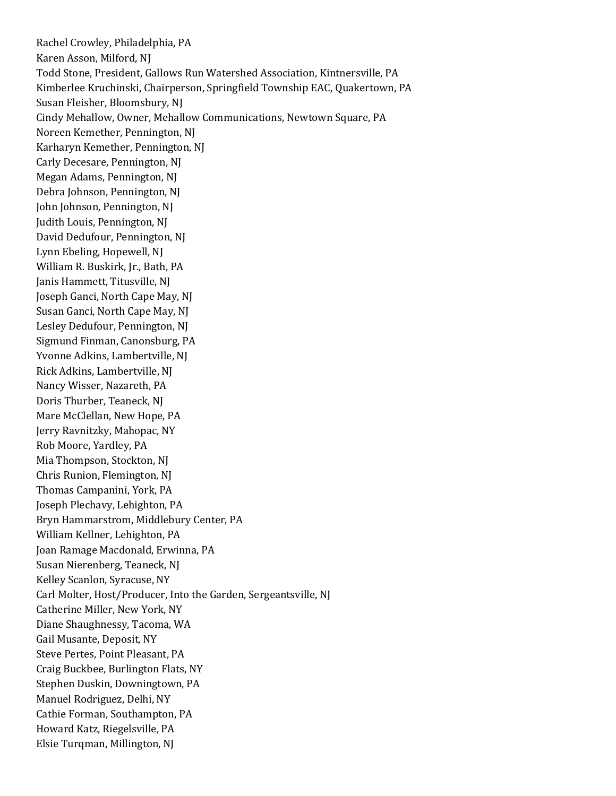Rachel Crowley, Philadelphia, PA Karen Asson, Milford, NJ Todd Stone, President, Gallows Run Watershed Association, Kintnersville, PA Kimberlee Kruchinski, Chairperson, Springfield Township EAC, Quakertown, PA Susan Fleisher, Bloomsbury, NJ Cindy Mehallow, Owner, Mehallow Communications, Newtown Square, PA Noreen Kemether, Pennington, NJ Karharyn Kemether, Pennington, NJ Carly Decesare, Pennington, NJ Megan Adams, Pennington, NJ Debra Johnson, Pennington, NJ John Johnson, Pennington, NJ Judith Louis, Pennington, NJ David Dedufour, Pennington, NJ Lynn Ebeling, Hopewell, NJ William R. Buskirk, Jr., Bath, PA Janis Hammett, Titusville, NJ Joseph Ganci, North Cape May, NJ Susan Ganci, North Cape May, NJ Lesley Dedufour, Pennington, NJ Sigmund Finman, Canonsburg, PA Yvonne Adkins, Lambertville, NJ Rick Adkins, Lambertville, NJ Nancy Wisser, Nazareth, PA Doris Thurber, Teaneck, NJ Mare McClellan, New Hope, PA Jerry Ravnitzky, Mahopac, NY Rob Moore, Yardley, PA Mia Thompson, Stockton, NJ Chris Runion, Flemington, NJ Thomas Campanini, York, PA Joseph Plechavy, Lehighton, PA Bryn Hammarstrom, Middlebury Center, PA William Kellner, Lehighton, PA Joan Ramage Macdonald, Erwinna, PA Susan Nierenberg, Teaneck, NJ Kelley Scanlon, Syracuse, NY Carl Molter, Host/Producer, Into the Garden, Sergeantsville, NJ Catherine Miller, New York, NY Diane Shaughnessy, Tacoma, WA Gail Musante, Deposit, NY Steve Pertes, Point Pleasant, PA Craig Buckbee, Burlington Flats, NY Stephen Duskin, Downingtown, PA Manuel Rodriguez, Delhi, NY Cathie Forman, Southampton, PA Howard Katz, Riegelsville, PA Elsie Turqman, Millington, NJ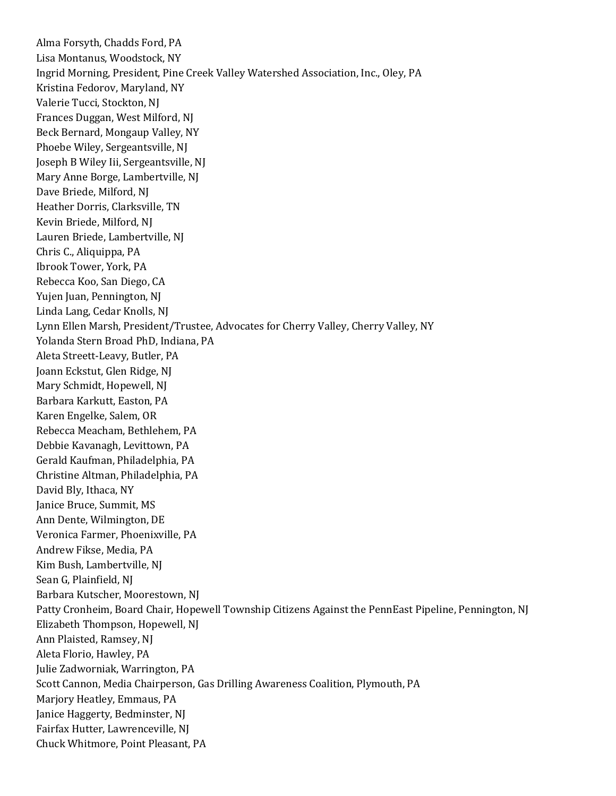Alma Forsyth, Chadds Ford, PA Lisa Montanus, Woodstock, NY Ingrid Morning, President, Pine Creek Valley Watershed Association, Inc., Oley, PA Kristina Fedorov, Maryland, NY Valerie Tucci, Stockton, NJ Frances Duggan, West Milford, NJ Beck Bernard, Mongaup Valley, NY Phoebe Wiley, Sergeantsville, NJ Joseph B Wiley Iii, Sergeantsville, NJ Mary Anne Borge, Lambertville, NJ Dave Briede, Milford, NJ Heather Dorris, Clarksville, TN Kevin Briede, Milford, NJ Lauren Briede, Lambertville, NJ Chris C., Aliquippa, PA Ibrook Tower, York, PA Rebecca Koo, San Diego, CA Yujen Juan, Pennington, NJ Linda Lang, Cedar Knolls, NJ Lynn Ellen Marsh, President/Trustee, Advocates for Cherry Valley, Cherry Valley, NY Yolanda Stern Broad PhD, Indiana, PA Aleta Streett-Leavy, Butler, PA Joann Eckstut, Glen Ridge, NJ Mary Schmidt, Hopewell, NJ Barbara Karkutt, Easton, PA Karen Engelke, Salem, OR Rebecca Meacham, Bethlehem, PA Debbie Kavanagh, Levittown, PA Gerald Kaufman, Philadelphia, PA Christine Altman, Philadelphia, PA David Bly, Ithaca, NY Janice Bruce, Summit, MS Ann Dente, Wilmington, DE Veronica Farmer, Phoenixville, PA Andrew Fikse, Media, PA Kim Bush, Lambertville, NJ Sean G, Plainfield, NJ Barbara Kutscher, Moorestown, NJ Patty Cronheim, Board Chair, Hopewell Township Citizens Against the PennEast Pipeline, Pennington, NJ Elizabeth Thompson, Hopewell, NJ Ann Plaisted, Ramsey, NJ Aleta Florio, Hawley, PA Julie Zadworniak, Warrington, PA Scott Cannon, Media Chairperson, Gas Drilling Awareness Coalition, Plymouth, PA Marjory Heatley, Emmaus, PA Janice Haggerty, Bedminster, NJ Fairfax Hutter, Lawrenceville, NJ Chuck Whitmore, Point Pleasant, PA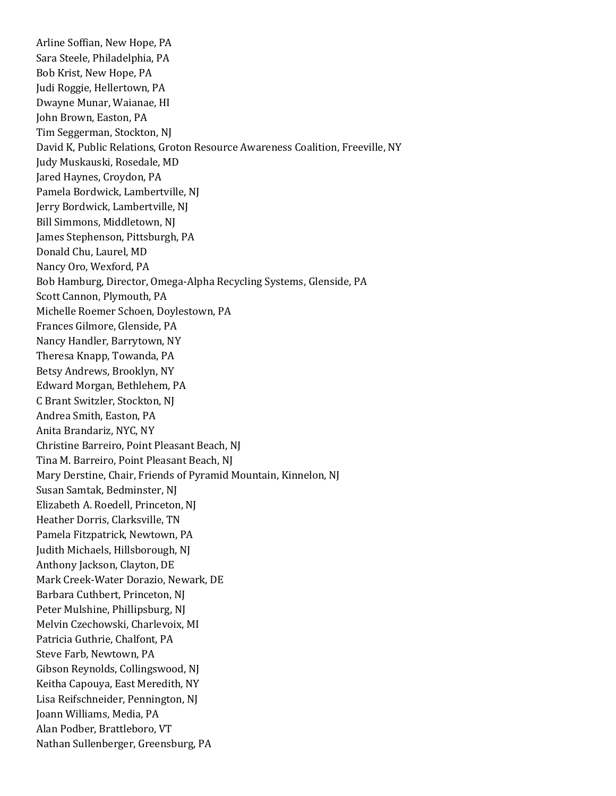Arline Soffian, New Hope, PA Sara Steele, Philadelphia, PA Bob Krist, New Hope, PA Judi Roggie, Hellertown, PA Dwayne Munar, Waianae, HI John Brown, Easton, PA Tim Seggerman, Stockton, NJ David K, Public Relations, Groton Resource Awareness Coalition, Freeville, NY Judy Muskauski, Rosedale, MD Jared Haynes, Croydon, PA Pamela Bordwick, Lambertville, NJ Jerry Bordwick, Lambertville, NJ Bill Simmons, Middletown, NJ James Stephenson, Pittsburgh, PA Donald Chu, Laurel, MD Nancy Oro, Wexford, PA Bob Hamburg, Director, Omega-Alpha Recycling Systems, Glenside, PA Scott Cannon, Plymouth, PA Michelle Roemer Schoen, Doylestown, PA Frances Gilmore, Glenside, PA Nancy Handler, Barrytown, NY Theresa Knapp, Towanda, PA Betsy Andrews, Brooklyn, NY Edward Morgan, Bethlehem, PA C Brant Switzler, Stockton, NJ Andrea Smith, Easton, PA Anita Brandariz, NYC, NY Christine Barreiro, Point Pleasant Beach, NJ Tina M. Barreiro, Point Pleasant Beach, NJ Mary Derstine, Chair, Friends of Pyramid Mountain, Kinnelon, NJ Susan Samtak, Bedminster, NJ Elizabeth A. Roedell, Princeton, NJ Heather Dorris, Clarksville, TN Pamela Fitzpatrick, Newtown, PA Judith Michaels, Hillsborough, NJ Anthony Jackson, Clayton, DE Mark Creek-Water Dorazio, Newark, DE Barbara Cuthbert, Princeton, NJ Peter Mulshine, Phillipsburg, NJ Melvin Czechowski, Charlevoix, MI Patricia Guthrie, Chalfont, PA Steve Farb, Newtown, PA Gibson Reynolds, Collingswood, NJ Keitha Capouya, East Meredith, NY Lisa Reifschneider, Pennington, NJ Joann Williams, Media, PA Alan Podber, Brattleboro, VT Nathan Sullenberger, Greensburg, PA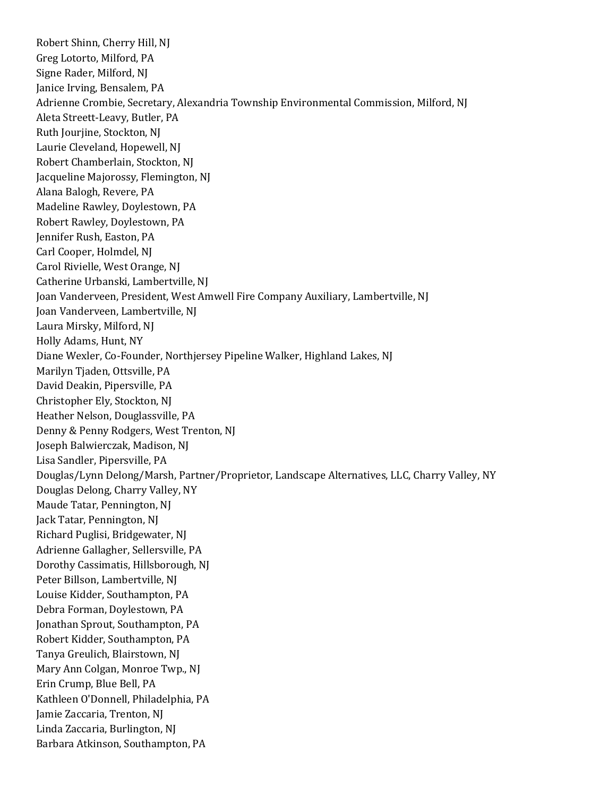Robert Shinn, Cherry Hill, NJ Greg Lotorto, Milford, PA Signe Rader, Milford, NJ Janice Irving, Bensalem, PA Adrienne Crombie, Secretary, Alexandria Township Environmental Commission, Milford, NJ Aleta Streett-Leavy, Butler, PA Ruth Jourjine, Stockton, NJ Laurie Cleveland, Hopewell, NJ Robert Chamberlain, Stockton, NJ Jacqueline Majorossy, Flemington, NJ Alana Balogh, Revere, PA Madeline Rawley, Doylestown, PA Robert Rawley, Doylestown, PA Jennifer Rush, Easton, PA Carl Cooper, Holmdel, NJ Carol Rivielle, West Orange, NJ Catherine Urbanski, Lambertville, NJ Joan Vanderveen, President, West Amwell Fire Company Auxiliary, Lambertville, NJ Joan Vanderveen, Lambertville, NJ Laura Mirsky, Milford, NJ Holly Adams, Hunt, NY Diane Wexler, Co-Founder, Northjersey Pipeline Walker, Highland Lakes, NJ Marilyn Tjaden, Ottsville, PA David Deakin, Pipersville, PA Christopher Ely, Stockton, NJ Heather Nelson, Douglassville, PA Denny & Penny Rodgers, West Trenton, NJ Joseph Balwierczak, Madison, NJ Lisa Sandler, Pipersville, PA Douglas/Lynn Delong/Marsh, Partner/Proprietor, Landscape Alternatives, LLC, Charry Valley, NY Douglas Delong, Charry Valley, NY Maude Tatar, Pennington, NJ Jack Tatar, Pennington, NJ Richard Puglisi, Bridgewater, NJ Adrienne Gallagher, Sellersville, PA Dorothy Cassimatis, Hillsborough, NJ Peter Billson, Lambertville, NJ Louise Kidder, Southampton, PA Debra Forman, Doylestown, PA Jonathan Sprout, Southampton, PA Robert Kidder, Southampton, PA Tanya Greulich, Blairstown, NJ Mary Ann Colgan, Monroe Twp., NJ Erin Crump, Blue Bell, PA Kathleen O'Donnell, Philadelphia, PA Jamie Zaccaria, Trenton, NJ Linda Zaccaria, Burlington, NJ Barbara Atkinson, Southampton, PA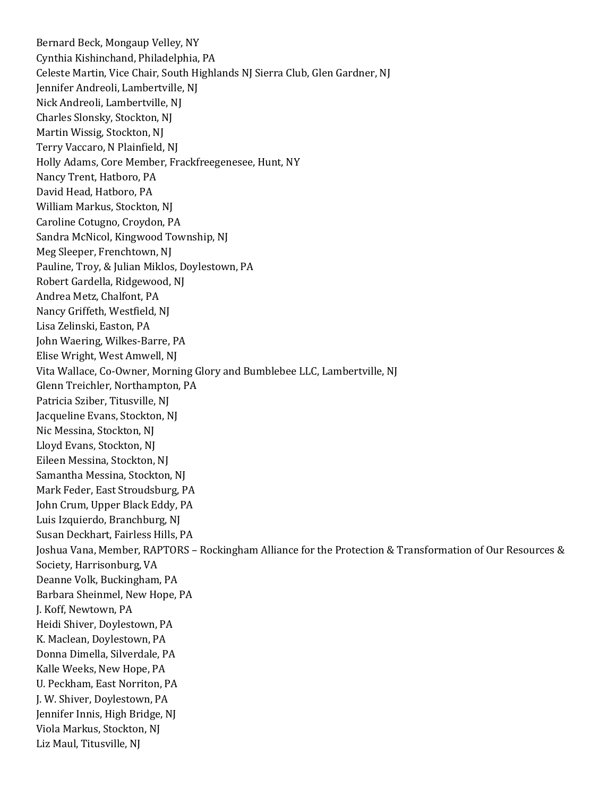Bernard Beck, Mongaup Velley, NY Cynthia Kishinchand, Philadelphia, PA Celeste Martin, Vice Chair, South Highlands NJ Sierra Club, Glen Gardner, NJ Jennifer Andreoli, Lambertville, NJ Nick Andreoli, Lambertville, NJ Charles Slonsky, Stockton, NJ Martin Wissig, Stockton, NJ Terry Vaccaro, N Plainfield, NJ Holly Adams, Core Member, Frackfreegenesee, Hunt, NY Nancy Trent, Hatboro, PA David Head, Hatboro, PA William Markus, Stockton, NJ Caroline Cotugno, Croydon, PA Sandra McNicol, Kingwood Township, NJ Meg Sleeper, Frenchtown, NJ Pauline, Troy, & Julian Miklos, Doylestown, PA Robert Gardella, Ridgewood, NJ Andrea Metz, Chalfont, PA Nancy Griffeth, Westfield, NJ Lisa Zelinski, Easton, PA John Waering, Wilkes-Barre, PA Elise Wright, West Amwell, NJ Vita Wallace, Co-Owner, Morning Glory and Bumblebee LLC, Lambertville, NJ Glenn Treichler, Northampton, PA Patricia Sziber, Titusville, NJ Jacqueline Evans, Stockton, NJ Nic Messina, Stockton, NJ Lloyd Evans, Stockton, NJ Eileen Messina, Stockton, NJ Samantha Messina, Stockton, NJ Mark Feder, East Stroudsburg, PA John Crum, Upper Black Eddy, PA Luis Izquierdo, Branchburg, NJ Susan Deckhart, Fairless Hills, PA Joshua Vana, Member, RAPTORS – Rockingham Alliance for the Protection & Transformation of Our Resources & Society, Harrisonburg, VA Deanne Volk, Buckingham, PA Barbara Sheinmel, New Hope, PA J. Koff, Newtown, PA Heidi Shiver, Doylestown, PA K. Maclean, Doylestown, PA Donna Dimella, Silverdale, PA Kalle Weeks, New Hope, PA U. Peckham, East Norriton, PA J. W. Shiver, Doylestown, PA Jennifer Innis, High Bridge, NJ Viola Markus, Stockton, NJ Liz Maul, Titusville, NJ